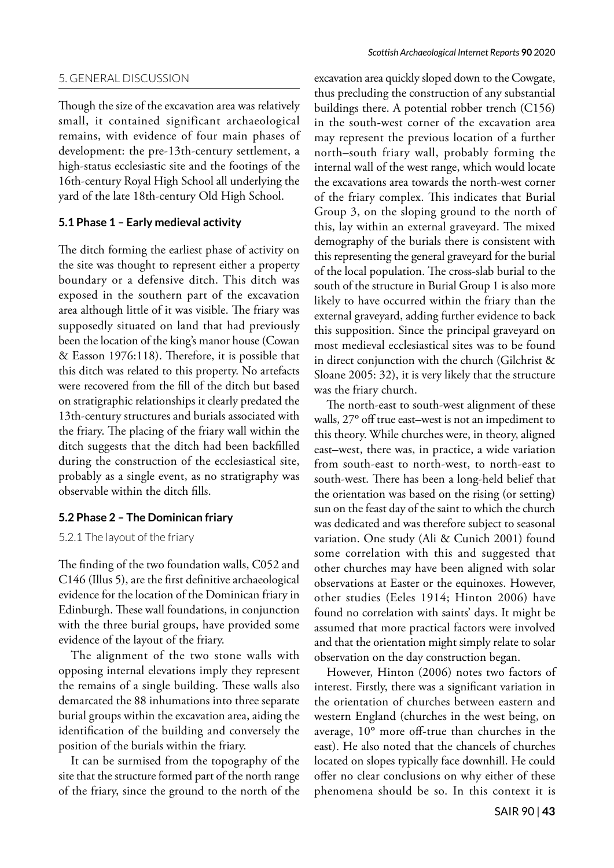### 5. GENERAL DISCUSSION

Though the size of the excavation area was relatively small, it contained significant archaeological remains, with evidence of four main phases of development: the pre-13th-century settlement, a high-status ecclesiastic site and the footings of the 16th-century Royal High School all underlying the yard of the late 18th-century Old High School.

### **5.1 Phase 1 – Early medieval activity**

The ditch forming the earliest phase of activity on the site was thought to represent either a property boundary or a defensive ditch. This ditch was exposed in the southern part of the excavation area although little of it was visible. The friary was supposedly situated on land that had previously been the location of the king's manor house (Cowan & Easson 1976:118). Therefore, it is possible that this ditch was related to this property. No artefacts were recovered from the fill of the ditch but based on stratigraphic relationships it clearly predated the 13th-century structures and burials associated with the friary. The placing of the friary wall within the ditch suggests that the ditch had been backfilled during the construction of the ecclesiastical site, probably as a single event, as no stratigraphy was observable within the ditch fills.

# **5.2 Phase 2 – The Dominican friary**

# 5.2.1 The layout of the friary

The finding of the two foundation walls, C052 and C146 (Illus 5), are the first definitive archaeological evidence for the location of the Dominican friary in Edinburgh. These wall foundations, in conjunction with the three burial groups, have provided some evidence of the layout of the friary.

The alignment of the two stone walls with opposing internal elevations imply they represent the remains of a single building. These walls also demarcated the 88 inhumations into three separate burial groups within the excavation area, aiding the identification of the building and conversely the position of the burials within the friary.

It can be surmised from the topography of the site that the structure formed part of the north range of the friary, since the ground to the north of the

excavation area quickly sloped down to the Cowgate, thus precluding the construction of any substantial buildings there. A potential robber trench (C156) in the south-west corner of the excavation area may represent the previous location of a further north–south friary wall, probably forming the internal wall of the west range, which would locate the excavations area towards the north-west corner of the friary complex. This indicates that Burial Group 3, on the sloping ground to the north of this, lay within an external graveyard. The mixed demography of the burials there is consistent with this representing the general graveyard for the burial of the local population. The cross-slab burial to the south of the structure in Burial Group 1 is also more likely to have occurred within the friary than the external graveyard, adding further evidence to back this supposition. Since the principal graveyard on most medieval ecclesiastical sites was to be found in direct conjunction with the church (Gilchrist & Sloane 2005: 32), it is very likely that the structure was the friary church.

The north-east to south-west alignment of these walls, 27**°** off true east–west is not an impediment to this theory. While churches were, in theory, aligned east–west, there was, in practice, a wide variation from south-east to north-west, to north-east to south-west. There has been a long-held belief that the orientation was based on the rising (or setting) sun on the feast day of the saint to which the church was dedicated and was therefore subject to seasonal variation. One study (Ali & Cunich 2001) found some correlation with this and suggested that other churches may have been aligned with solar observations at Easter or the equinoxes. However, other studies (Eeles 1914; Hinton 2006) have found no correlation with saints' days. It might be assumed that more practical factors were involved and that the orientation might simply relate to solar observation on the day construction began.

However, Hinton (2006) notes two factors of interest. Firstly, there was a significant variation in the orientation of churches between eastern and western England (churches in the west being, on average, 10**°** more off-true than churches in the east). He also noted that the chancels of churches located on slopes typically face downhill. He could offer no clear conclusions on why either of these phenomena should be so. In this context it is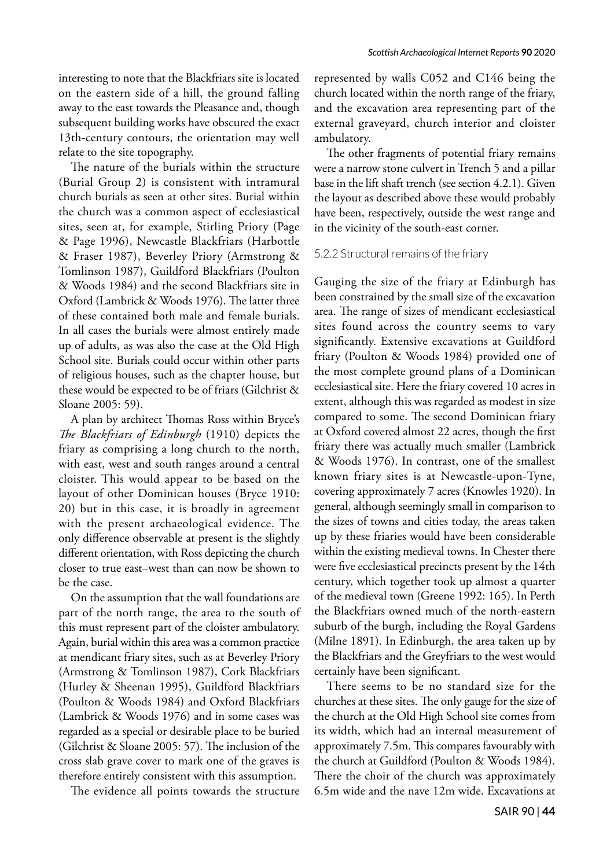interesting to note that the Blackfriars site is located on the eastern side of a hill, the ground falling away to the east towards the Pleasance and, though subsequent building works have obscured the exact 13th-century contours, the orientation may well relate to the site topography.

The nature of the burials within the structure (Burial Group 2) is consistent with intramural church burials as seen at other sites. Burial within the church was a common aspect of ecclesiastical sites, seen at, for example, Stirling Priory (Page & Page 1996), Newcastle Blackfriars (Harbottle & Fraser 1987), Beverley Priory (Armstrong & Tomlinson 1987), Guildford Blackfriars (Poulton & Woods 1984) and the second Blackfriars site in Oxford (Lambrick & Woods 1976). The latter three of these contained both male and female burials. In all cases the burials were almost entirely made up of adults, as was also the case at the Old High School site. Burials could occur within other parts of religious houses, such as the chapter house, but these would be expected to be of friars (Gilchrist & Sloane 2005: 59).

A plan by architect Thomas Ross within Bryce's *The Blackfriars of Edinburgh* (1910) depicts the friary as comprising a long church to the north, with east, west and south ranges around a central cloister. This would appear to be based on the layout of other Dominican houses (Bryce 1910: 20) but in this case, it is broadly in agreement with the present archaeological evidence. The only difference observable at present is the slightly different orientation, with Ross depicting the church closer to true east–west than can now be shown to be the case.

On the assumption that the wall foundations are part of the north range, the area to the south of this must represent part of the cloister ambulatory. Again, burial within this area was a common practice at mendicant friary sites, such as at Beverley Priory (Armstrong & Tomlinson 1987), Cork Blackfriars (Hurley & Sheenan 1995), Guildford Blackfriars (Poulton & Woods 1984) and Oxford Blackfriars (Lambrick & Woods 1976) and in some cases was regarded as a special or desirable place to be buried (Gilchrist & Sloane 2005: 57). The inclusion of the cross slab grave cover to mark one of the graves is therefore entirely consistent with this assumption.

The evidence all points towards the structure

represented by walls C052 and C146 being the church located within the north range of the friary, and the excavation area representing part of the external graveyard, church interior and cloister ambulatory.

The other fragments of potential friary remains were a narrow stone culvert in Trench 5 and a pillar base in the lift shaft trench (see section 4.2.1). Given the layout as described above these would probably have been, respectively, outside the west range and in the vicinity of the south-east corner.

#### 5.2.2 Structural remains of the friary

Gauging the size of the friary at Edinburgh has been constrained by the small size of the excavation area. The range of sizes of mendicant ecclesiastical sites found across the country seems to vary significantly. Extensive excavations at Guildford friary (Poulton & Woods 1984) provided one of the most complete ground plans of a Dominican ecclesiastical site. Here the friary covered 10 acres in extent, although this was regarded as modest in size compared to some. The second Dominican friary at Oxford covered almost 22 acres, though the first friary there was actually much smaller (Lambrick & Woods 1976). In contrast, one of the smallest known friary sites is at Newcastle-upon-Tyne, covering approximately 7 acres (Knowles 1920). In general, although seemingly small in comparison to the sizes of towns and cities today, the areas taken up by these friaries would have been considerable within the existing medieval towns. In Chester there were five ecclesiastical precincts present by the 14th century, which together took up almost a quarter of the medieval town (Greene 1992: 165). In Perth the Blackfriars owned much of the north-eastern suburb of the burgh, including the Royal Gardens (Milne 1891). In Edinburgh, the area taken up by the Blackfriars and the Greyfriars to the west would certainly have been significant.

There seems to be no standard size for the churches at these sites. The only gauge for the size of the church at the Old High School site comes from its width, which had an internal measurement of approximately 7.5m. This compares favourably with the church at Guildford (Poulton & Woods 1984). There the choir of the church was approximately 6.5m wide and the nave 12m wide. Excavations at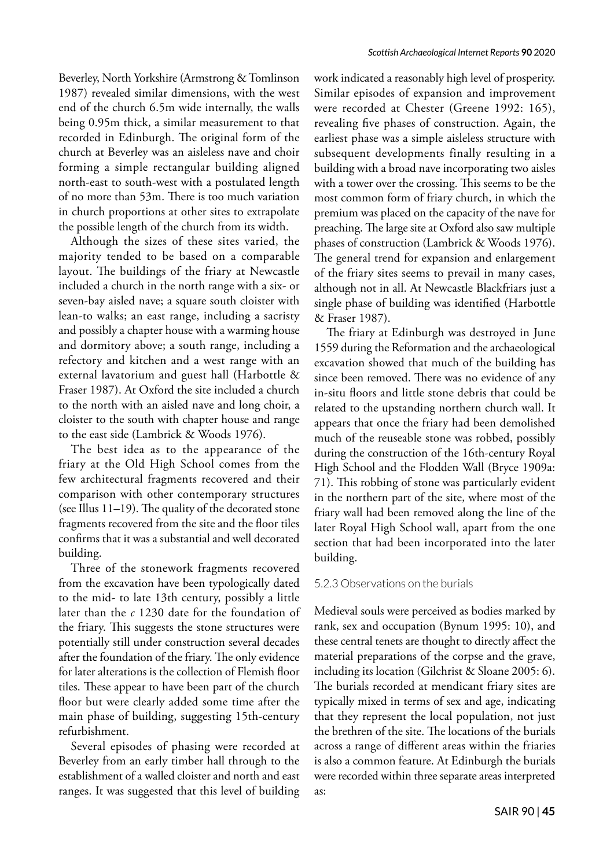Beverley, North Yorkshire (Armstrong & Tomlinson 1987) revealed similar dimensions, with the west end of the church 6.5m wide internally, the walls being 0.95m thick, a similar measurement to that recorded in Edinburgh. The original form of the church at Beverley was an aisleless nave and choir forming a simple rectangular building aligned north-east to south-west with a postulated length of no more than 53m. There is too much variation in church proportions at other sites to extrapolate the possible length of the church from its width.

Although the sizes of these sites varied, the majority tended to be based on a comparable layout. The buildings of the friary at Newcastle included a church in the north range with a six- or seven-bay aisled nave; a square south cloister with lean-to walks; an east range, including a sacristy and possibly a chapter house with a warming house and dormitory above; a south range, including a refectory and kitchen and a west range with an external lavatorium and guest hall (Harbottle & Fraser 1987). At Oxford the site included a church to the north with an aisled nave and long choir, a cloister to the south with chapter house and range to the east side (Lambrick & Woods 1976).

The best idea as to the appearance of the friary at the Old High School comes from the few architectural fragments recovered and their comparison with other contemporary structures (see Illus 11–19). The quality of the decorated stone fragments recovered from the site and the floor tiles confirms that it was a substantial and well decorated building.

Three of the stonework fragments recovered from the excavation have been typologically dated to the mid- to late 13th century, possibly a little later than the *c* 1230 date for the foundation of the friary. This suggests the stone structures were potentially still under construction several decades after the foundation of the friary. The only evidence for later alterations is the collection of Flemish floor tiles. These appear to have been part of the church floor but were clearly added some time after the main phase of building, suggesting 15th-century refurbishment.

Several episodes of phasing were recorded at Beverley from an early timber hall through to the establishment of a walled cloister and north and east ranges. It was suggested that this level of building

work indicated a reasonably high level of prosperity. Similar episodes of expansion and improvement were recorded at Chester (Greene 1992: 165), revealing five phases of construction. Again, the earliest phase was a simple aisleless structure with subsequent developments finally resulting in a building with a broad nave incorporating two aisles with a tower over the crossing. This seems to be the most common form of friary church, in which the premium was placed on the capacity of the nave for preaching. The large site at Oxford also saw multiple phases of construction (Lambrick & Woods 1976). The general trend for expansion and enlargement of the friary sites seems to prevail in many cases, although not in all. At Newcastle Blackfriars just a single phase of building was identified (Harbottle & Fraser 1987).

The friary at Edinburgh was destroyed in June 1559 during the Reformation and the archaeological excavation showed that much of the building has since been removed. There was no evidence of any in-situ floors and little stone debris that could be related to the upstanding northern church wall. It appears that once the friary had been demolished much of the reuseable stone was robbed, possibly during the construction of the 16th-century Royal High School and the Flodden Wall (Bryce 1909a: 71). This robbing of stone was particularly evident in the northern part of the site, where most of the friary wall had been removed along the line of the later Royal High School wall, apart from the one section that had been incorporated into the later building.

### 5.2.3 Observations on the burials

Medieval souls were perceived as bodies marked by rank, sex and occupation (Bynum 1995: 10), and these central tenets are thought to directly affect the material preparations of the corpse and the grave, including its location (Gilchrist & Sloane 2005: 6). The burials recorded at mendicant friary sites are typically mixed in terms of sex and age, indicating that they represent the local population, not just the brethren of the site. The locations of the burials across a range of different areas within the friaries is also a common feature. At Edinburgh the burials were recorded within three separate areas interpreted as: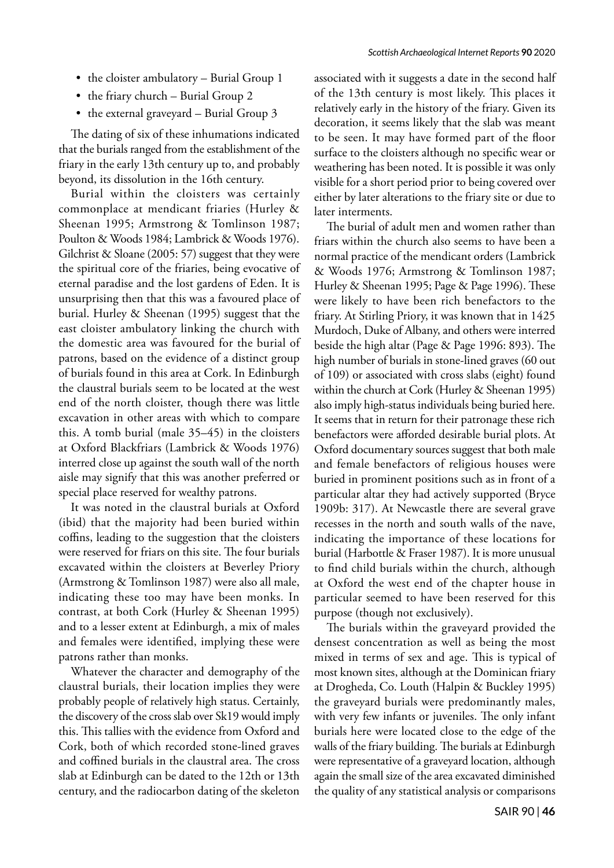- the cloister ambulatory Burial Group 1
- the friary church Burial Group 2
- the external graveyard Burial Group 3

The dating of six of these inhumations indicated that the burials ranged from the establishment of the friary in the early 13th century up to, and probably beyond, its dissolution in the 16th century.

Burial within the cloisters was certainly commonplace at mendicant friaries (Hurley & Sheenan 1995; Armstrong & Tomlinson 1987; Poulton & Woods 1984; Lambrick & Woods 1976). Gilchrist & Sloane (2005: 57) suggest that they were the spiritual core of the friaries, being evocative of eternal paradise and the lost gardens of Eden. It is unsurprising then that this was a favoured place of burial. Hurley & Sheenan (1995) suggest that the east cloister ambulatory linking the church with the domestic area was favoured for the burial of patrons, based on the evidence of a distinct group of burials found in this area at Cork. In Edinburgh the claustral burials seem to be located at the west end of the north cloister, though there was little excavation in other areas with which to compare this. A tomb burial (male 35–45) in the cloisters at Oxford Blackfriars (Lambrick & Woods 1976) interred close up against the south wall of the north aisle may signify that this was another preferred or special place reserved for wealthy patrons.

It was noted in the claustral burials at Oxford (ibid) that the majority had been buried within coffins, leading to the suggestion that the cloisters were reserved for friars on this site. The four burials excavated within the cloisters at Beverley Priory (Armstrong & Tomlinson 1987) were also all male, indicating these too may have been monks. In contrast, at both Cork (Hurley & Sheenan 1995) and to a lesser extent at Edinburgh, a mix of males and females were identified, implying these were patrons rather than monks.

Whatever the character and demography of the claustral burials, their location implies they were probably people of relatively high status. Certainly, the discovery of the cross slab over Sk19 would imply this. This tallies with the evidence from Oxford and Cork, both of which recorded stone-lined graves and coffined burials in the claustral area. The cross slab at Edinburgh can be dated to the 12th or 13th century, and the radiocarbon dating of the skeleton

associated with it suggests a date in the second half of the 13th century is most likely. This places it relatively early in the history of the friary. Given its decoration, it seems likely that the slab was meant to be seen. It may have formed part of the floor surface to the cloisters although no specific wear or weathering has been noted. It is possible it was only visible for a short period prior to being covered over either by later alterations to the friary site or due to later interments.

The burial of adult men and women rather than friars within the church also seems to have been a normal practice of the mendicant orders (Lambrick & Woods 1976; Armstrong & Tomlinson 1987; Hurley & Sheenan 1995; Page & Page 1996). These were likely to have been rich benefactors to the friary. At Stirling Priory, it was known that in 1425 Murdoch, Duke of Albany, and others were interred beside the high altar (Page & Page 1996: 893). The high number of burials in stone-lined graves (60 out of 109) or associated with cross slabs (eight) found within the church at Cork (Hurley & Sheenan 1995) also imply high-status individuals being buried here. It seems that in return for their patronage these rich benefactors were afforded desirable burial plots. At Oxford documentary sources suggest that both male and female benefactors of religious houses were buried in prominent positions such as in front of a particular altar they had actively supported (Bryce 1909b: 317). At Newcastle there are several grave recesses in the north and south walls of the nave, indicating the importance of these locations for burial (Harbottle & Fraser 1987). It is more unusual to find child burials within the church, although at Oxford the west end of the chapter house in particular seemed to have been reserved for this purpose (though not exclusively).

The burials within the graveyard provided the densest concentration as well as being the most mixed in terms of sex and age. This is typical of most known sites, although at the Dominican friary at Drogheda, Co. Louth (Halpin & Buckley 1995) the graveyard burials were predominantly males, with very few infants or juveniles. The only infant burials here were located close to the edge of the walls of the friary building. The burials at Edinburgh were representative of a graveyard location, although again the small size of the area excavated diminished the quality of any statistical analysis or comparisons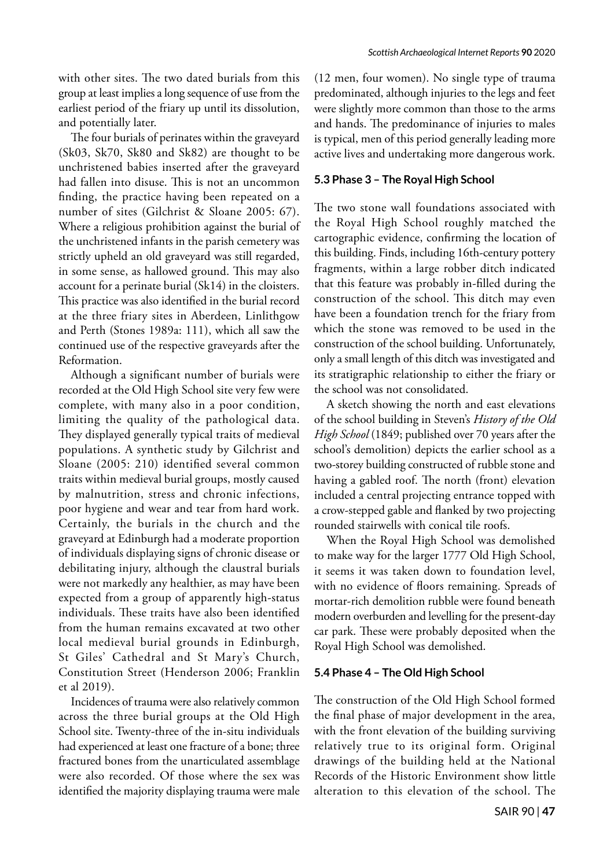The four burials of perinates within the graveyard (Sk03, Sk70, Sk80 and Sk82) are thought to be unchristened babies inserted after the graveyard had fallen into disuse. This is not an uncommon finding, the practice having been repeated on a number of sites (Gilchrist & Sloane 2005: 67). Where a religious prohibition against the burial of the unchristened infants in the parish cemetery was strictly upheld an old graveyard was still regarded, in some sense, as hallowed ground. This may also account for a perinate burial (Sk14) in the cloisters. This practice was also identified in the burial record at the three friary sites in Aberdeen, Linlithgow and Perth (Stones 1989a: 111), which all saw the continued use of the respective graveyards after the Reformation.

Although a significant number of burials were recorded at the Old High School site very few were complete, with many also in a poor condition, limiting the quality of the pathological data. They displayed generally typical traits of medieval populations. A synthetic study by Gilchrist and Sloane (2005: 210) identified several common traits within medieval burial groups, mostly caused by malnutrition, stress and chronic infections, poor hygiene and wear and tear from hard work. Certainly, the burials in the church and the graveyard at Edinburgh had a moderate proportion of individuals displaying signs of chronic disease or debilitating injury, although the claustral burials were not markedly any healthier, as may have been expected from a group of apparently high-status individuals. These traits have also been identified from the human remains excavated at two other local medieval burial grounds in Edinburgh, St Giles' Cathedral and St Mary's Church, Constitution Street (Henderson 2006; Franklin et al 2019).

Incidences of trauma were also relatively common across the three burial groups at the Old High School site. Twenty-three of the in-situ individuals had experienced at least one fracture of a bone; three fractured bones from the unarticulated assemblage were also recorded. Of those where the sex was identified the majority displaying trauma were male (12 men, four women). No single type of trauma predominated, although injuries to the legs and feet were slightly more common than those to the arms and hands. The predominance of injuries to males is typical, men of this period generally leading more active lives and undertaking more dangerous work.

# **5.3 Phase 3 – The Royal High School**

The two stone wall foundations associated with the Royal High School roughly matched the cartographic evidence, confirming the location of this building. Finds, including 16th-century pottery fragments, within a large robber ditch indicated that this feature was probably in-filled during the construction of the school. This ditch may even have been a foundation trench for the friary from which the stone was removed to be used in the construction of the school building. Unfortunately, only a small length of this ditch was investigated and its stratigraphic relationship to either the friary or the school was not consolidated.

A sketch showing the north and east elevations of the school building in Steven's *History of the Old High School* (1849; published over 70 years after the school's demolition) depicts the earlier school as a two-storey building constructed of rubble stone and having a gabled roof. The north (front) elevation included a central projecting entrance topped with a crow-stepped gable and flanked by two projecting rounded stairwells with conical tile roofs.

When the Royal High School was demolished to make way for the larger 1777 Old High School, it seems it was taken down to foundation level, with no evidence of floors remaining. Spreads of mortar-rich demolition rubble were found beneath modern overburden and levelling for the present-day car park. These were probably deposited when the Royal High School was demolished.

# **5.4 Phase 4 – The Old High School**

The construction of the Old High School formed the final phase of major development in the area, with the front elevation of the building surviving relatively true to its original form. Original drawings of the building held at the National Records of the Historic Environment show little alteration to this elevation of the school. The